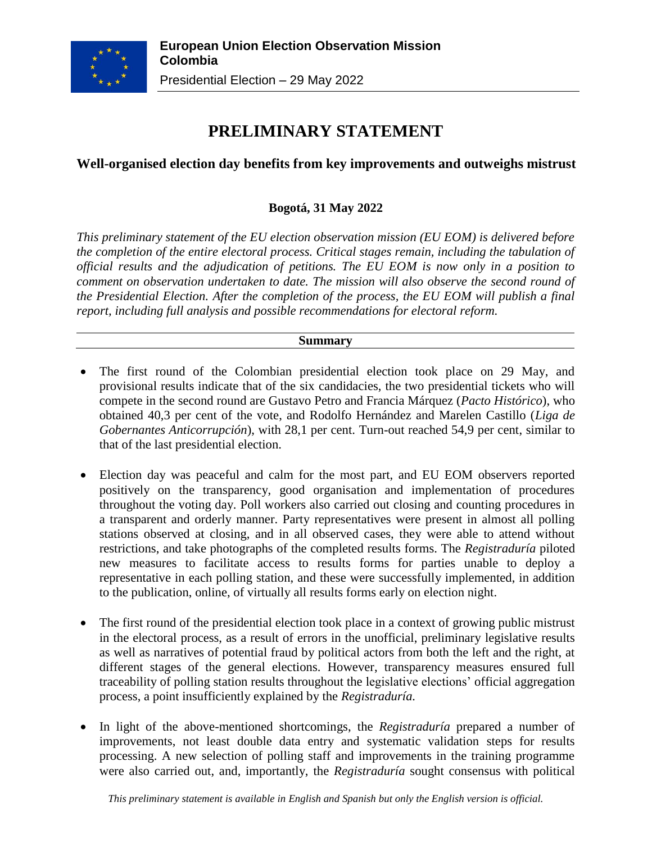

# **PRELIMINARY STATEMENT**

## **Well-organised election day benefits from key improvements and outweighs mistrust**

# **Bogotá, 31 May 2022**

*This preliminary statement of the EU election observation mission (EU EOM) is delivered before the completion of the entire electoral process. Critical stages remain, including the tabulation of official results and the adjudication of petitions. The EU EOM is now only in a position to comment on observation undertaken to date. The mission will also observe the second round of the Presidential Election. After the completion of the process, the EU EOM will publish a final report, including full analysis and possible recommendations for electoral reform.*

#### **Summary**

- The first round of the Colombian presidential election took place on 29 May, and provisional results indicate that of the six candidacies, the two presidential tickets who will compete in the second round are Gustavo Petro and Francia Márquez (*Pacto Histórico*), who obtained 40,3 per cent of the vote, and Rodolfo Hernández and Marelen Castillo (*Liga de Gobernantes Anticorrupción*), with 28,1 per cent. Turn-out reached 54,9 per cent, similar to that of the last presidential election.
- Election day was peaceful and calm for the most part, and EU EOM observers reported positively on the transparency, good organisation and implementation of procedures throughout the voting day. Poll workers also carried out closing and counting procedures in a transparent and orderly manner. Party representatives were present in almost all polling stations observed at closing, and in all observed cases, they were able to attend without restrictions, and take photographs of the completed results forms. The *Registraduría* piloted new measures to facilitate access to results forms for parties unable to deploy a representative in each polling station, and these were successfully implemented, in addition to the publication, online, of virtually all results forms early on election night.
- The first round of the presidential election took place in a context of growing public mistrust in the electoral process, as a result of errors in the unofficial, preliminary legislative results as well as narratives of potential fraud by political actors from both the left and the right, at different stages of the general elections. However, transparency measures ensured full traceability of polling station results throughout the legislative elections' official aggregation process, a point insufficiently explained by the *Registraduría.*
- In light of the above-mentioned shortcomings, the *Registraduría* prepared a number of improvements, not least double data entry and systematic validation steps for results processing. A new selection of polling staff and improvements in the training programme were also carried out, and, importantly, the *Registraduría* sought consensus with political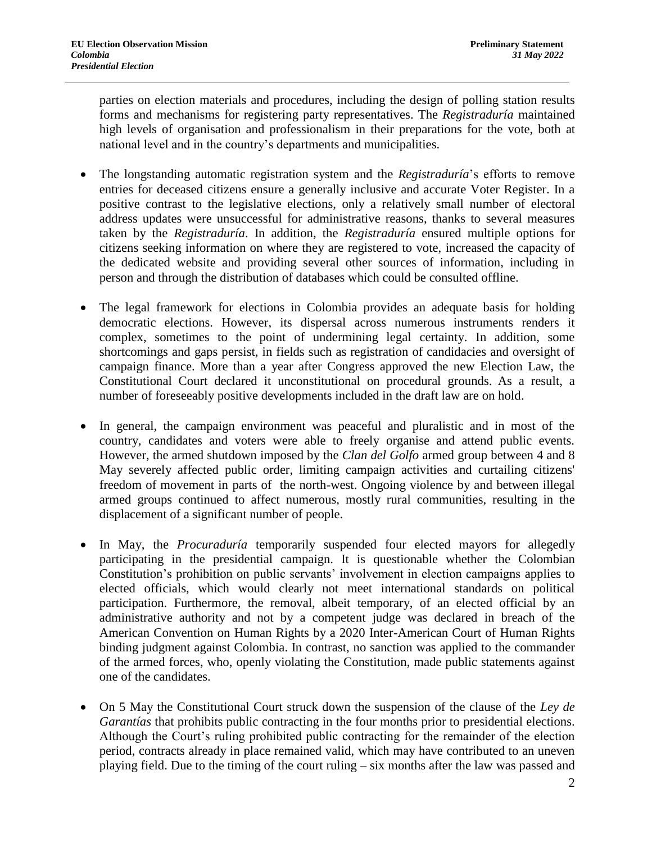parties on election materials and procedures, including the design of polling station results forms and mechanisms for registering party representatives. The *Registraduría* maintained high levels of organisation and professionalism in their preparations for the vote, both at national level and in the country's departments and municipalities.

- The longstanding automatic registration system and the *Registraduría*'s efforts to remove entries for deceased citizens ensure a generally inclusive and accurate Voter Register. In a positive contrast to the legislative elections, only a relatively small number of electoral address updates were unsuccessful for administrative reasons, thanks to several measures taken by the *Registraduría*. In addition, the *Registraduría* ensured multiple options for citizens seeking information on where they are registered to vote, increased the capacity of the dedicated website and providing several other sources of information, including in person and through the distribution of databases which could be consulted offline.
- The legal framework for elections in Colombia provides an adequate basis for holding democratic elections. However, its dispersal across numerous instruments renders it complex, sometimes to the point of undermining legal certainty. In addition, some shortcomings and gaps persist, in fields such as registration of candidacies and oversight of campaign finance. More than a year after Congress approved the new Election Law, the Constitutional Court declared it unconstitutional on procedural grounds. As a result, a number of foreseeably positive developments included in the draft law are on hold.
- In general, the campaign environment was peaceful and pluralistic and in most of the country, candidates and voters were able to freely organise and attend public events. However, the armed shutdown imposed by the *Clan del Golfo* armed group between 4 and 8 May severely affected public order, limiting campaign activities and curtailing citizens' freedom of movement in parts of the north-west. Ongoing violence by and between illegal armed groups continued to affect numerous, mostly rural communities, resulting in the displacement of a significant number of people.
- In May, the *Procuraduría* temporarily suspended four elected mayors for allegedly participating in the presidential campaign. It is questionable whether the Colombian Constitution's prohibition on public servants' involvement in election campaigns applies to elected officials, which would clearly not meet international standards on political participation. Furthermore, the removal, albeit temporary, of an elected official by an administrative authority and not by a competent judge was declared in breach of the American Convention on Human Rights by a 2020 Inter-American Court of Human Rights binding judgment against Colombia. In contrast, no sanction was applied to the commander of the armed forces, who, openly violating the Constitution, made public statements against one of the candidates.
- On 5 May the Constitutional Court struck down the suspension of the clause of the *Ley de Garantías* that prohibits public contracting in the four months prior to presidential elections. Although the Court's ruling prohibited public contracting for the remainder of the election period, contracts already in place remained valid, which may have contributed to an uneven playing field. Due to the timing of the court ruling – six months after the law was passed and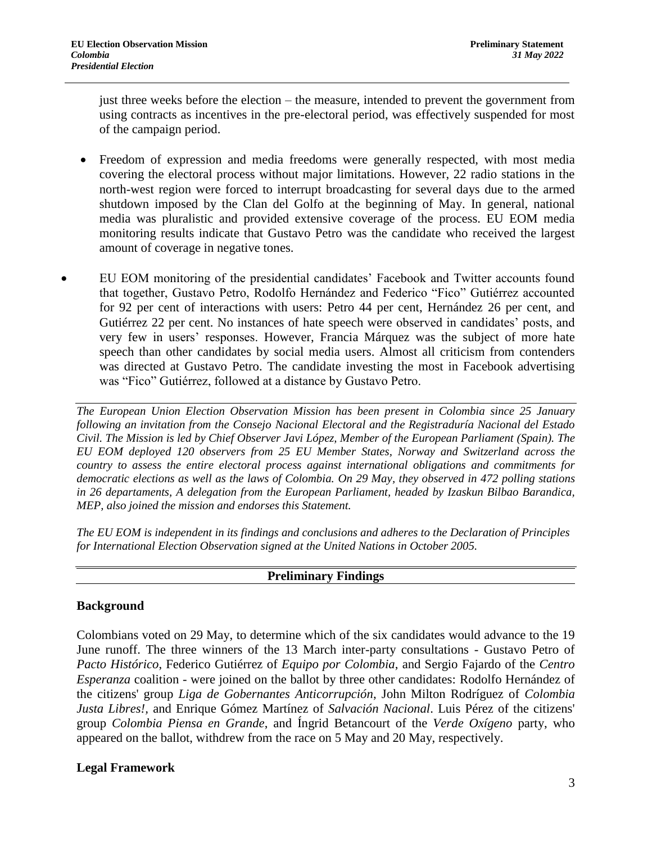just three weeks before the election – the measure, intended to prevent the government from using contracts as incentives in the pre-electoral period, was effectively suspended for most of the campaign period.

- Freedom of expression and media freedoms were generally respected, with most media covering the electoral process without major limitations. However, 22 radio stations in the north-west region were forced to interrupt broadcasting for several days due to the armed shutdown imposed by the Clan del Golfo at the beginning of May. In general, national media was pluralistic and provided extensive coverage of the process. EU EOM media monitoring results indicate that Gustavo Petro was the candidate who received the largest amount of coverage in negative tones.
- EU EOM monitoring of the presidential candidates' Facebook and Twitter accounts found that together, Gustavo Petro, Rodolfo Hernández and Federico "Fico" Gutiérrez accounted for 92 per cent of interactions with users: Petro 44 per cent, Hernández 26 per cent, and Gutiérrez 22 per cent. No instances of hate speech were observed in candidates' posts, and very few in users' responses. However, Francia Márquez was the subject of more hate speech than other candidates by social media users. Almost all criticism from contenders was directed at Gustavo Petro. The candidate investing the most in Facebook advertising was "Fico" Gutiérrez, followed at a distance by Gustavo Petro.

*The European Union Election Observation Mission has been present in Colombia since 25 January following an invitation from the Consejo Nacional Electoral and the Registraduría Nacional del Estado Civil. The Mission is led by Chief Observer Javi López, Member of the European Parliament (Spain). The EU EOM deployed 120 observers from 25 EU Member States, Norway and Switzerland across the country to assess the entire electoral process against international obligations and commitments for democratic elections as well as the laws of Colombia. On 29 May, they observed in 472 polling stations in 26 departaments, A delegation from the European Parliament, headed by Izaskun Bilbao Barandica, MEP, also joined the mission and endorses this Statement.*

*The EU EOM is independent in its findings and conclusions and adheres to the Declaration of Principles for International Election Observation signed at the United Nations in October 2005.*

## **Preliminary Findings**

## **Background**

Colombians voted on 29 May, to determine which of the six candidates would advance to the 19 June runoff. The three winners of the 13 March inter-party consultations - Gustavo Petro of *Pacto Histórico*, Federico Gutiérrez of *Equipo por Colombia*, and Sergio Fajardo of the *Centro Esperanza* coalition - were joined on the ballot by three other candidates: Rodolfo Hernández of the citizens' group *Liga de Gobernantes Anticorrupción*, John Milton Rodríguez of *Colombia Justa Libres!,* and Enrique Gómez Martínez of *Salvación Nacional*. Luis Pérez of the citizens' group *Colombia Piensa en Grande*, and Íngrid Betancourt of the *Verde Oxígeno* party, who appeared on the ballot, withdrew from the race on 5 May and 20 May, respectively.

#### **Legal Framework**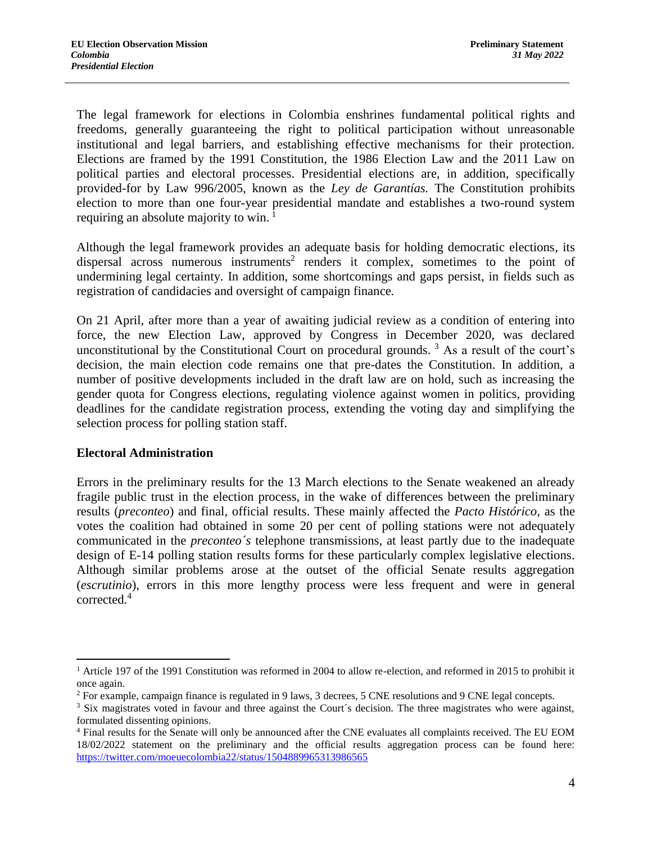The legal framework for elections in Colombia enshrines fundamental political rights and freedoms, generally guaranteeing the right to political participation without unreasonable institutional and legal barriers, and establishing effective mechanisms for their protection. Elections are framed by the 1991 Constitution, the 1986 Election Law and the 2011 Law on political parties and electoral processes. Presidential elections are, in addition, specifically provided-for by Law 996/2005, known as the *Ley de Garantías.* The Constitution prohibits election to more than one four-year presidential mandate and establishes a two-round system requiring an absolute majority to win.  $\frac{1}{1}$ 

Although the legal framework provides an adequate basis for holding democratic elections, its dispersal across numerous instruments<sup>2</sup> renders it complex, sometimes to the point of undermining legal certainty. In addition, some shortcomings and gaps persist, in fields such as registration of candidacies and oversight of campaign finance.

On 21 April, after more than a year of awaiting judicial review as a condition of entering into force, the new Election Law, approved by Congress in December 2020, was declared unconstitutional by the Constitutional Court on procedural grounds.  $3$  As a result of the court's decision, the main election code remains one that pre-dates the Constitution. In addition, a number of positive developments included in the draft law are on hold, such as increasing the gender quota for Congress elections, regulating violence against women in politics, providing deadlines for the candidate registration process, extending the voting day and simplifying the selection process for polling station staff.

#### **Electoral Administration**

 $\overline{a}$ 

Errors in the preliminary results for the 13 March elections to the Senate weakened an already fragile public trust in the election process, in the wake of differences between the preliminary results (*preconteo*) and final, official results. These mainly affected the *Pacto Histórico*, as the votes the coalition had obtained in some 20 per cent of polling stations were not adequately communicated in the *preconteo´s* telephone transmissions, at least partly due to the inadequate design of E-14 polling station results forms for these particularly complex legislative elections. Although similar problems arose at the outset of the official Senate results aggregation (*escrutinio*), errors in this more lengthy process were less frequent and were in general corrected. 4

<sup>&</sup>lt;sup>1</sup> Article 197 of the 1991 Constitution was reformed in 2004 to allow re-election, and reformed in 2015 to prohibit it once again.

<sup>2</sup> For example, campaign finance is regulated in 9 laws, 3 decrees, 5 CNE resolutions and 9 CNE legal concepts.

<sup>&</sup>lt;sup>3</sup> Six magistrates voted in favour and three against the Court's decision. The three magistrates who were against, formulated dissenting opinions.

<sup>&</sup>lt;sup>4</sup> Final results for the Senate will only be announced after the CNE evaluates all complaints received. The EU EOM 18/02/2022 statement on the preliminary and the official results aggregation process can be found here: <https://twitter.com/moeuecolombia22/status/1504889965313986565>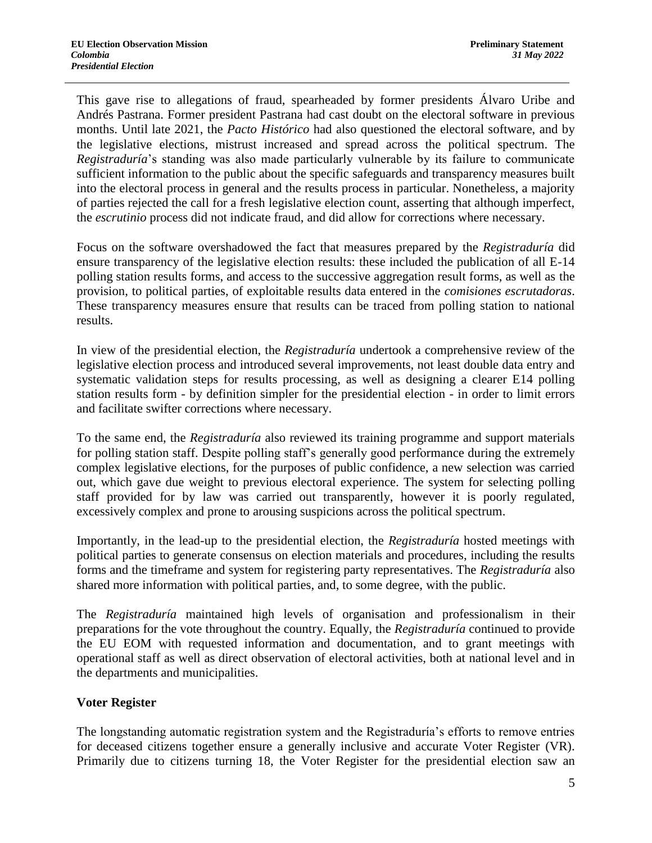This gave rise to allegations of fraud, spearheaded by former presidents Álvaro Uribe and Andrés Pastrana. Former president Pastrana had cast doubt on the electoral software in previous months. Until late 2021, the *Pacto Histórico* had also questioned the electoral software, and by the legislative elections, mistrust increased and spread across the political spectrum. The *Registraduría*'s standing was also made particularly vulnerable by its failure to communicate sufficient information to the public about the specific safeguards and transparency measures built into the electoral process in general and the results process in particular. Nonetheless, a majority of parties rejected the call for a fresh legislative election count, asserting that although imperfect, the *escrutinio* process did not indicate fraud, and did allow for corrections where necessary.

Focus on the software overshadowed the fact that measures prepared by the *Registraduría* did ensure transparency of the legislative election results: these included the publication of all E-14 polling station results forms, and access to the successive aggregation result forms, as well as the provision, to political parties, of exploitable results data entered in the *comisiones escrutadoras*. These transparency measures ensure that results can be traced from polling station to national results.

In view of the presidential election, the *Registraduría* undertook a comprehensive review of the legislative election process and introduced several improvements, not least double data entry and systematic validation steps for results processing, as well as designing a clearer E14 polling station results form - by definition simpler for the presidential election - in order to limit errors and facilitate swifter corrections where necessary.

To the same end, the *Registraduría* also reviewed its training programme and support materials for polling station staff. Despite polling staff's generally good performance during the extremely complex legislative elections, for the purposes of public confidence, a new selection was carried out, which gave due weight to previous electoral experience. The system for selecting polling staff provided for by law was carried out transparently, however it is poorly regulated, excessively complex and prone to arousing suspicions across the political spectrum.

Importantly, in the lead-up to the presidential election, the *Registraduría* hosted meetings with political parties to generate consensus on election materials and procedures, including the results forms and the timeframe and system for registering party representatives. The *Registraduría* also shared more information with political parties, and, to some degree, with the public.

The *Registraduría* maintained high levels of organisation and professionalism in their preparations for the vote throughout the country. Equally, the *Registraduría* continued to provide the EU EOM with requested information and documentation, and to grant meetings with operational staff as well as direct observation of electoral activities, both at national level and in the departments and municipalities.

## **Voter Register**

The longstanding automatic registration system and the Registraduría's efforts to remove entries for deceased citizens together ensure a generally inclusive and accurate Voter Register (VR). Primarily due to citizens turning 18, the Voter Register for the presidential election saw an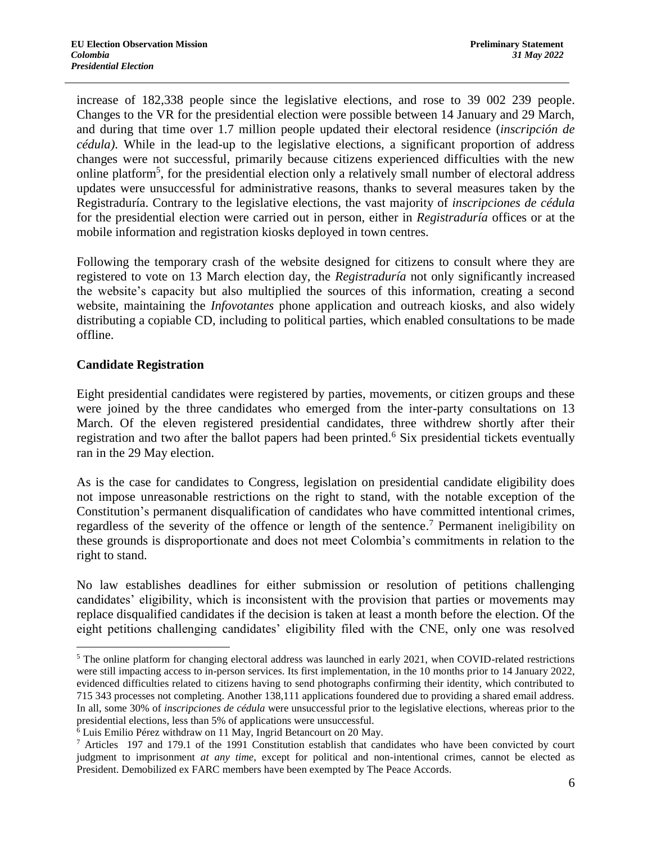increase of 182,338 people since the legislative elections, and rose to 39 002 239 people. Changes to the VR for the presidential election were possible between 14 January and 29 March, and during that time over 1.7 million people updated their electoral residence (*inscripción de cédula)*. While in the lead-up to the legislative elections, a significant proportion of address changes were not successful, primarily because citizens experienced difficulties with the new online platform<sup>5</sup>, for the presidential election only a relatively small number of electoral address updates were unsuccessful for administrative reasons, thanks to several measures taken by the Registraduría. Contrary to the legislative elections, the vast majority of *inscripciones de cédula* for the presidential election were carried out in person, either in *Registraduría* offices or at the mobile information and registration kiosks deployed in town centres.

Following the temporary crash of the website designed for citizens to consult where they are registered to vote on 13 March election day, the *Registraduría* not only significantly increased the website's capacity but also multiplied the sources of this information, creating a second website, maintaining the *Infovotantes* phone application and outreach kiosks, and also widely distributing a copiable CD, including to political parties, which enabled consultations to be made offline.

#### **Candidate Registration**

Eight presidential candidates were registered by parties, movements, or citizen groups and these were joined by the three candidates who emerged from the inter-party consultations on 13 March. Of the eleven registered presidential candidates, three withdrew shortly after their registration and two after the ballot papers had been printed.<sup>6</sup> Six presidential tickets eventually ran in the 29 May election.

As is the case for candidates to Congress, legislation on presidential candidate eligibility does not impose unreasonable restrictions on the right to stand, with the notable exception of the Constitution's permanent disqualification of candidates who have committed intentional crimes, regardless of the severity of the offence or length of the sentence.<sup>7</sup> Permanent ineligibility on these grounds is disproportionate and does not meet Colombia's commitments in relation to the right to stand.

No law establishes deadlines for either submission or resolution of petitions challenging candidates' eligibility, which is inconsistent with the provision that parties or movements may replace disqualified candidates if the decision is taken at least a month before the election. Of the eight petitions challenging candidates' eligibility filed with the CNE, only one was resolved

 $\overline{a}$ <sup>5</sup> The online platform for changing electoral address was launched in early 2021, when COVID-related restrictions were still impacting access to in-person services. Its first implementation, in the 10 months prior to 14 January 2022, evidenced difficulties related to citizens having to send photographs confirming their identity, which contributed to 715 343 processes not completing. Another 138,111 applications foundered due to providing a shared email address. In all, some 30% of *inscripciones de cédula* were unsuccessful prior to the legislative elections, whereas prior to the presidential elections, less than 5% of applications were unsuccessful.

<sup>6</sup> Luis Emilio Pérez withdraw on 11 May, Ingrid Betancourt on 20 May.

 $7$  Articles 197 and 179.1 of the 1991 Constitution establish that candidates who have been convicted by court judgment to imprisonment *at any time*, except for political and non-intentional crimes, cannot be elected as President. Demobilized ex FARC members have been exempted by The Peace Accords.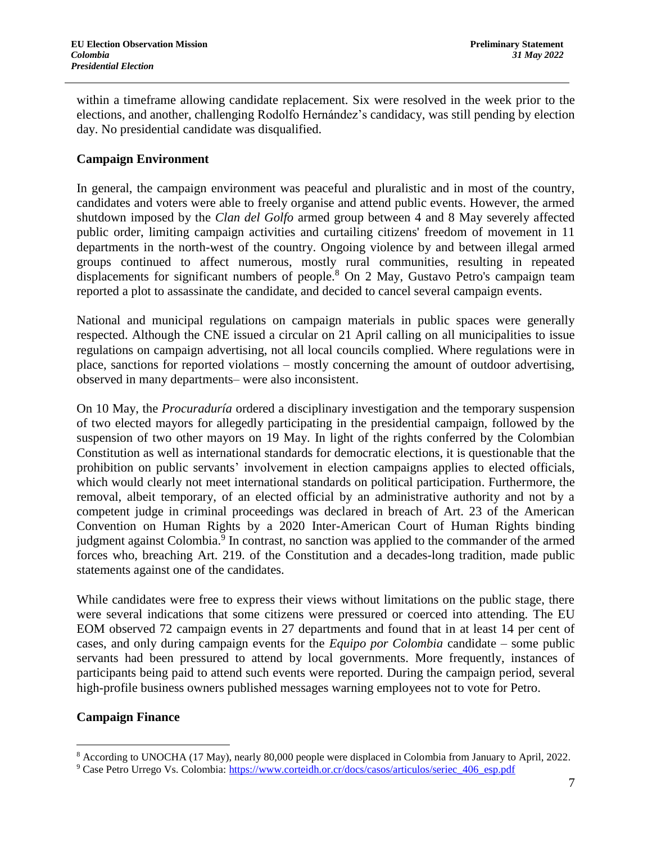within a timeframe allowing candidate replacement. Six were resolved in the week prior to the elections, and another, challenging Rodolfo Hernández's candidacy, was still pending by election day. No presidential candidate was disqualified.

## **Campaign Environment**

In general, the campaign environment was peaceful and pluralistic and in most of the country, candidates and voters were able to freely organise and attend public events. However, the armed shutdown imposed by the *Clan del Golfo* armed group between 4 and 8 May severely affected public order, limiting campaign activities and curtailing citizens' freedom of movement in 11 departments in the north-west of the country. Ongoing violence by and between illegal armed groups continued to affect numerous, mostly rural communities, resulting in repeated displacements for significant numbers of people.<sup>8</sup> On 2 May, Gustavo Petro's campaign team reported a plot to assassinate the candidate, and decided to cancel several campaign events.

National and municipal regulations on campaign materials in public spaces were generally respected. Although the CNE issued a circular on 21 April calling on all municipalities to issue regulations on campaign advertising, not all local councils complied. Where regulations were in place, sanctions for reported violations – mostly concerning the amount of outdoor advertising, observed in many departments– were also inconsistent.

On 10 May, the *Procuraduría* ordered a disciplinary investigation and the temporary suspension of two elected mayors for allegedly participating in the presidential campaign, followed by the suspension of two other mayors on 19 May. In light of the rights conferred by the Colombian Constitution as well as international standards for democratic elections, it is questionable that the prohibition on public servants' involvement in election campaigns applies to elected officials, which would clearly not meet international standards on political participation. Furthermore, the removal, albeit temporary, of an elected official by an administrative authority and not by a competent judge in criminal proceedings was declared in breach of Art. 23 of the American Convention on Human Rights by a 2020 Inter-American Court of Human Rights binding judgment against Colombia.<sup>9</sup> In contrast, no sanction was applied to the commander of the armed forces who, breaching Art. 219. of the Constitution and a decades-long tradition, made public statements against one of the candidates.

While candidates were free to express their views without limitations on the public stage, there were several indications that some citizens were pressured or coerced into attending. The EU EOM observed 72 campaign events in 27 departments and found that in at least 14 per cent of cases, and only during campaign events for the *Equipo por Colombia* candidate – some public servants had been pressured to attend by local governments. More frequently, instances of participants being paid to attend such events were reported. During the campaign period, several high-profile business owners published messages warning employees not to vote for Petro.

## **Campaign Finance**

 $\overline{a}$ 

<sup>&</sup>lt;sup>8</sup> According to UNOCHA (17 May), nearly 80,000 people were displaced in Colombia from January to April, 2022.

<sup>9</sup> Case Petro Urrego Vs. Colombia: [https://www.corteidh.or.cr/docs/casos/articulos/seriec\\_406\\_esp.pdf](https://www.corteidh.or.cr/docs/casos/articulos/seriec_406_esp.pdf)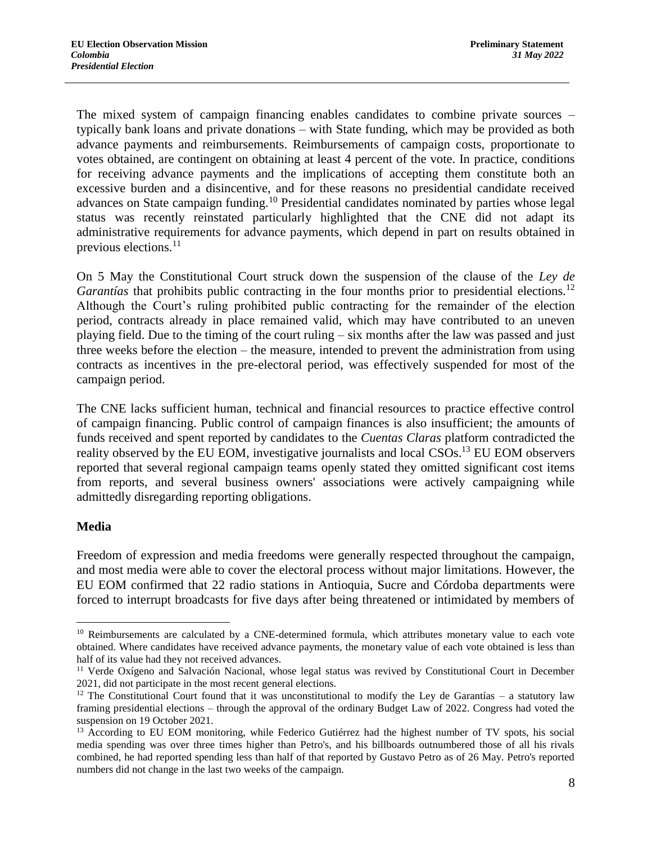The mixed system of campaign financing enables candidates to combine private sources – typically bank loans and private donations – with State funding, which may be provided as both advance payments and reimbursements. Reimbursements of campaign costs, proportionate to votes obtained, are contingent on obtaining at least 4 percent of the vote. In practice, conditions for receiving advance payments and the implications of accepting them constitute both an excessive burden and a disincentive, and for these reasons no presidential candidate received advances on State campaign funding.<sup>10</sup> Presidential candidates nominated by parties whose legal status was recently reinstated particularly highlighted that the CNE did not adapt its administrative requirements for advance payments, which depend in part on results obtained in previous elections.<sup>11</sup>

On 5 May the Constitutional Court struck down the suspension of the clause of the *Ley de Garantías* that prohibits public contracting in the four months prior to presidential elections.<sup>12</sup> Although the Court's ruling prohibited public contracting for the remainder of the election period, contracts already in place remained valid, which may have contributed to an uneven playing field. Due to the timing of the court ruling – six months after the law was passed and just three weeks before the election – the measure, intended to prevent the administration from using contracts as incentives in the pre-electoral period, was effectively suspended for most of the campaign period.

The CNE lacks sufficient human, technical and financial resources to practice effective control of campaign financing. Public control of campaign finances is also insufficient; the amounts of funds received and spent reported by candidates to the *Cuentas Claras* platform contradicted the reality observed by the EU EOM, investigative journalists and local CSOs.<sup>13</sup> EU EOM observers reported that several regional campaign teams openly stated they omitted significant cost items from reports, and several business owners' associations were actively campaigning while admittedly disregarding reporting obligations.

## **Media**

 $\overline{a}$ 

Freedom of expression and media freedoms were generally respected throughout the campaign, and most media were able to cover the electoral process without major limitations. However, the EU EOM confirmed that 22 radio stations in Antioquia, Sucre and Córdoba departments were forced to interrupt broadcasts for five days after being threatened or intimidated by members of

<sup>&</sup>lt;sup>10</sup> Reimbursements are calculated by a CNE-determined formula, which attributes monetary value to each vote obtained. Where candidates have received advance payments, the monetary value of each vote obtained is less than half of its value had they not received advances.

<sup>&</sup>lt;sup>11</sup> Verde Oxígeno and Salvación Nacional, whose legal status was revived by Constitutional Court in December 2021, did not participate in the most recent general elections.

 $12$  The Constitutional Court found that it was unconstitutional to modify the Ley de Garantías – a statutory law framing presidential elections – through the approval of the ordinary Budget Law of 2022. Congress had voted the suspension on 19 October 2021.

<sup>&</sup>lt;sup>13</sup> According to EU EOM monitoring, while Federico Gutiérrez had the highest number of TV spots, his social media spending was over three times higher than Petro's, and his billboards outnumbered those of all his rivals combined, he had reported spending less than half of that reported by Gustavo Petro as of 26 May. Petro's reported numbers did not change in the last two weeks of the campaign.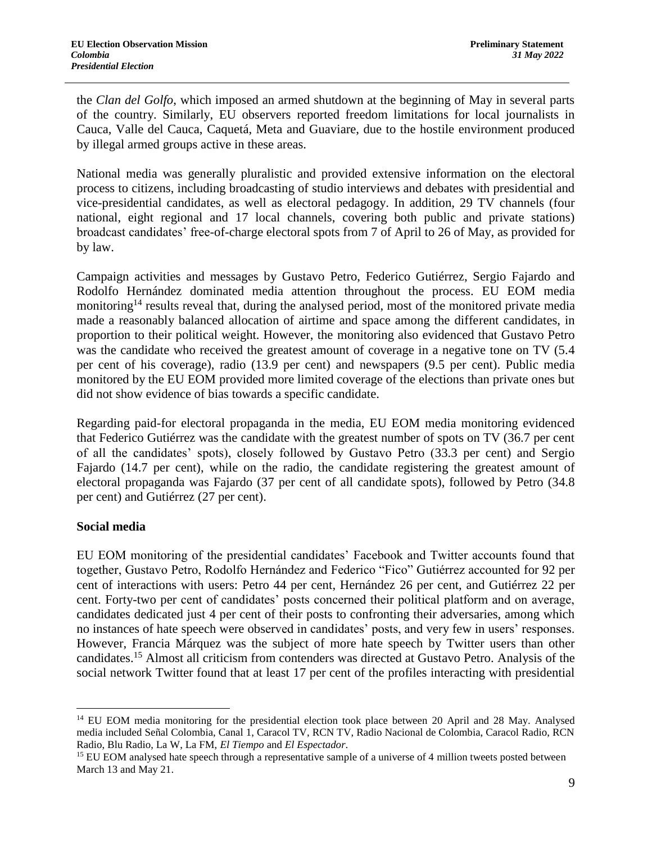the *Clan del Golfo*, which imposed an armed shutdown at the beginning of May in several parts of the country. Similarly, EU observers reported freedom limitations for local journalists in Cauca, Valle del Cauca, Caquetá, Meta and Guaviare, due to the hostile environment produced by illegal armed groups active in these areas.

National media was generally pluralistic and provided extensive information on the electoral process to citizens, including broadcasting of studio interviews and debates with presidential and vice-presidential candidates, as well as electoral pedagogy. In addition, 29 TV channels (four national, eight regional and 17 local channels, covering both public and private stations) broadcast candidates' free-of-charge electoral spots from 7 of April to 26 of May, as provided for by law.

Campaign activities and messages by Gustavo Petro, Federico Gutiérrez, Sergio Fajardo and Rodolfo Hernández dominated media attention throughout the process. EU EOM media monitoring<sup>14</sup> results reveal that, during the analysed period, most of the monitored private media made a reasonably balanced allocation of airtime and space among the different candidates, in proportion to their political weight. However, the monitoring also evidenced that Gustavo Petro was the candidate who received the greatest amount of coverage in a negative tone on TV (5.4) per cent of his coverage), radio (13.9 per cent) and newspapers (9.5 per cent). Public media monitored by the EU EOM provided more limited coverage of the elections than private ones but did not show evidence of bias towards a specific candidate.

Regarding paid-for electoral propaganda in the media, EU EOM media monitoring evidenced that Federico Gutiérrez was the candidate with the greatest number of spots on TV (36.7 per cent of all the candidates' spots), closely followed by Gustavo Petro (33.3 per cent) and Sergio Fajardo (14.7 per cent), while on the radio, the candidate registering the greatest amount of electoral propaganda was Fajardo (37 per cent of all candidate spots), followed by Petro (34.8 per cent) and Gutiérrez (27 per cent).

## **Social media**

 $\overline{a}$ 

EU EOM monitoring of the presidential candidates' Facebook and Twitter accounts found that together, Gustavo Petro, Rodolfo Hernández and Federico "Fico" Gutiérrez accounted for 92 per cent of interactions with users: Petro 44 per cent, Hernández 26 per cent, and Gutiérrez 22 per cent. Forty-two per cent of candidates' posts concerned their political platform and on average, candidates dedicated just 4 per cent of their posts to confronting their adversaries, among which no instances of hate speech were observed in candidates' posts, and very few in users' responses. However, Francia Márquez was the subject of more hate speech by Twitter users than other candidates. <sup>15</sup> Almost all criticism from contenders was directed at Gustavo Petro. Analysis of the social network Twitter found that at least 17 per cent of the profiles interacting with presidential

<sup>&</sup>lt;sup>14</sup> EU EOM media monitoring for the presidential election took place between 20 April and 28 May. Analysed media included Señal Colombia, Canal 1, Caracol TV, RCN TV, Radio Nacional de Colombia, Caracol Radio, RCN Radio, Blu Radio, La W, La FM, *El Tiempo* and *El Espectador*.

<sup>&</sup>lt;sup>15</sup> EU EOM analysed hate speech through a representative sample of a universe of 4 million tweets posted between March 13 and May 21.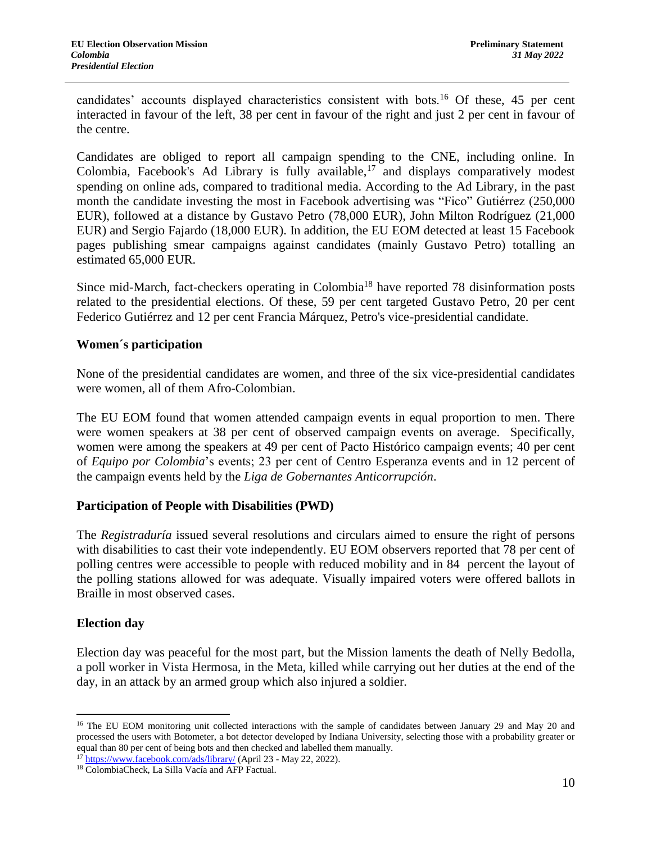candidates' accounts displayed characteristics consistent with bots.<sup>16</sup> Of these, 45 per cent interacted in favour of the left, 38 per cent in favour of the right and just 2 per cent in favour of the centre.

Candidates are obliged to report all campaign spending to the CNE, including online. In Colombia, Facebook's Ad Library is fully available, $17$  and displays comparatively modest spending on online ads, compared to traditional media. According to the Ad Library, in the past month the candidate investing the most in Facebook advertising was "Fico" Gutiérrez (250,000 EUR), followed at a distance by Gustavo Petro (78,000 EUR), John Milton Rodríguez (21,000 EUR) and Sergio Fajardo (18,000 EUR). In addition, the EU EOM detected at least 15 Facebook pages publishing smear campaigns against candidates (mainly Gustavo Petro) totalling an estimated 65,000 EUR.

Since mid-March, fact-checkers operating in Colombia<sup>18</sup> have reported 78 disinformation posts related to the presidential elections. Of these, 59 per cent targeted Gustavo Petro, 20 per cent Federico Gutiérrez and 12 per cent Francia Márquez, Petro's vice-presidential candidate.

## **Women´s participation**

None of the presidential candidates are women, and three of the six vice-presidential candidates were women, all of them Afro-Colombian.

The EU EOM found that women attended campaign events in equal proportion to men. There were women speakers at 38 per cent of observed campaign events on average. Specifically, women were among the speakers at 49 per cent of Pacto Histórico campaign events; 40 per cent of *Equipo por Colombia*'s events; 23 per cent of Centro Esperanza events and in 12 percent of the campaign events held by the *Liga de Gobernantes Anticorrupción*.

#### **Participation of People with Disabilities (PWD)**

The *Registraduría* issued several resolutions and circulars aimed to ensure the right of persons with disabilities to cast their vote independently. EU EOM observers reported that 78 per cent of polling centres were accessible to people with reduced mobility and in 84 percent the layout of the polling stations allowed for was adequate. Visually impaired voters were offered ballots in Braille in most observed cases.

## **Election day**

 $\overline{a}$ 

Election day was peaceful for the most part, but the Mission laments the death of Nelly Bedolla, a poll worker in Vista Hermosa, in the Meta, killed while carrying out her duties at the end of the day, in an attack by an armed group which also injured a soldier.

<sup>&</sup>lt;sup>16</sup> The EU EOM monitoring unit collected interactions with the sample of candidates between January 29 and May 20 and processed the users with Botometer, a bot detector developed by Indiana University, selecting those with a probability greater or equal than 80 per cent of being bots and then checked and labelled them manually.

<sup>17</sup> <https://www.facebook.com/ads/library/> (April 23 - May 22, 2022).

<sup>18</sup> ColombiaCheck, La Silla Vacía and AFP Factual.